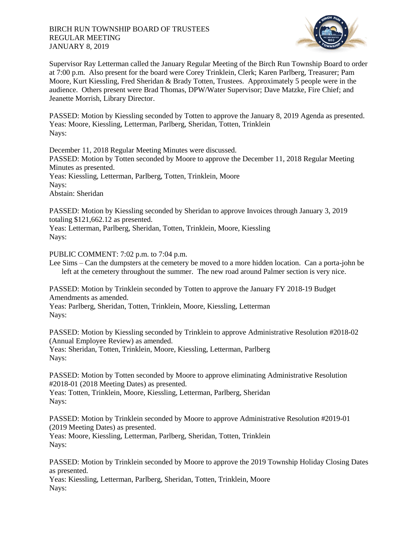

Supervisor Ray Letterman called the January Regular Meeting of the Birch Run Township Board to order at 7:00 p.m. Also present for the board were Corey Trinklein, Clerk; Karen Parlberg, Treasurer; Pam Moore, Kurt Kiessling, Fred Sheridan & Brady Totten, Trustees. Approximately 5 people were in the audience. Others present were Brad Thomas, DPW/Water Supervisor; Dave Matzke, Fire Chief; and Jeanette Morrish, Library Director.

PASSED: Motion by Kiessling seconded by Totten to approve the January 8, 2019 Agenda as presented. Yeas: Moore, Kiessling, Letterman, Parlberg, Sheridan, Totten, Trinklein Nays:

December 11, 2018 Regular Meeting Minutes were discussed.

PASSED: Motion by Totten seconded by Moore to approve the December 11, 2018 Regular Meeting Minutes as presented.

Yeas: Kiessling, Letterman, Parlberg, Totten, Trinklein, Moore

Navs:

Abstain: Sheridan

PASSED: Motion by Kiessling seconded by Sheridan to approve Invoices through January 3, 2019 totaling \$121,662.12 as presented.

Yeas: Letterman, Parlberg, Sheridan, Totten, Trinklein, Moore, Kiessling Nays:

PUBLIC COMMENT: 7:02 p.m. to 7:04 p.m.

Lee Sims – Can the dumpsters at the cemetery be moved to a more hidden location. Can a porta-john be left at the cemetery throughout the summer. The new road around Palmer section is very nice.

PASSED: Motion by Trinklein seconded by Totten to approve the January FY 2018-19 Budget Amendments as amended.

Yeas: Parlberg, Sheridan, Totten, Trinklein, Moore, Kiessling, Letterman Nays:

PASSED: Motion by Kiessling seconded by Trinklein to approve Administrative Resolution #2018-02 (Annual Employee Review) as amended. Yeas: Sheridan, Totten, Trinklein, Moore, Kiessling, Letterman, Parlberg

Nays:

PASSED: Motion by Totten seconded by Moore to approve eliminating Administrative Resolution #2018-01 (2018 Meeting Dates) as presented. Yeas: Totten, Trinklein, Moore, Kiessling, Letterman, Parlberg, Sheridan Nays:

PASSED: Motion by Trinklein seconded by Moore to approve Administrative Resolution #2019-01 (2019 Meeting Dates) as presented. Yeas: Moore, Kiessling, Letterman, Parlberg, Sheridan, Totten, Trinklein Nays:

PASSED: Motion by Trinklein seconded by Moore to approve the 2019 Township Holiday Closing Dates as presented. Yeas: Kiessling, Letterman, Parlberg, Sheridan, Totten, Trinklein, Moore

Nays: